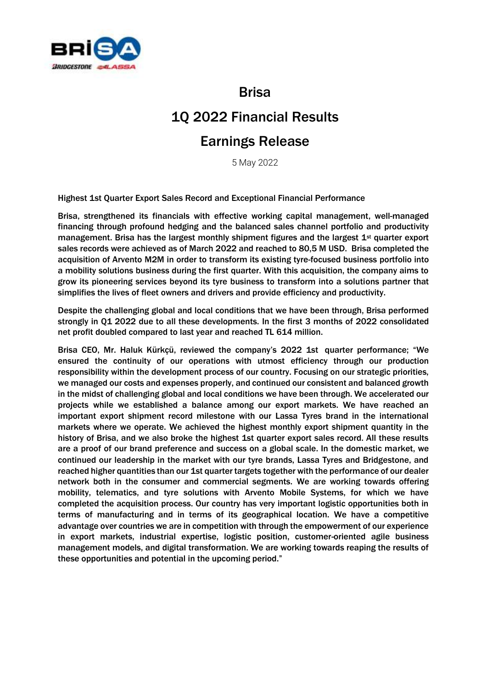

Brisa

# 1Q 2022 Financial Results

## Earnings Release

5 May 2022

Highest 1st Quarter Export Sales Record and Exceptional Financial Performance

Brisa, [strengthene](https://tureng.com/tr/turkce-ingilizce/strengthen)d its financials with effective working capital management, well-managed financing through profound hedging and the balanced sales channel portfolio and productivity management. Brisa has the largest monthly shipment figures and the largest  $1<sup>st</sup>$  quarter export sales records were achieved as of March 2022 and reached to 80,5 M USD. Brisa completed the acquisition of Arvento M2M in order to transform its existing tyre-focused business portfolio into a mobility solutions business during the first quarter. With this acquisition, the company aims to grow its pioneering services beyond its tyre business to transform into a solutions partner that simplifies the lives of fleet owners and drivers and provide efficiency and productivity.

Despite the challenging global and local conditions that we have been through, Brisa performed strongly in Q1 2022 due to all these developments. In the first 3 months of 2022 consolidated net profit doubled compared to last year and reached TL 614 million.

Brisa CEO, Mr. Haluk Kürkçü, reviewed the company's 2022 1st quarter performance; "We ensured the continuity of our operations with utmost efficiency through our production responsibility within the development process of our country. Focusing on our strategic priorities, we managed our costs and expenses properly, and continued our consistent and balanced growth in the midst of challenging global and local conditions we have been through. We accelerated our projects while we established a balance among our export markets. We have reached an important export shipment record milestone with our Lassa Tyres brand in the international markets where we operate. We achieved the highest monthly export shipment quantity in the history of Brisa, and we also broke the highest 1st quarter export sales record. All these results are a proof of our brand preference and success on a global scale. In the domestic market, we continued our leadership in the market with our tyre brands, Lassa Tyres and Bridgestone, and reached higher quantities than our 1st quarter targets together with the performance of our dealer network both in the consumer and commercial segments. We are working towards offering mobility, telematics, and tyre solutions with Arvento Mobile Systems, for which we have completed the acquisition process. Our country has very important logistic opportunities both in terms of manufacturing and in terms of its geographical location. We have a competitive advantage over countries we are in competition with through the empowerment of our experience in export markets, industrial expertise, logistic position, customer-oriented agile business management models, and digital transformation. We are working towards reaping the results of these opportunities and potential in the upcoming period."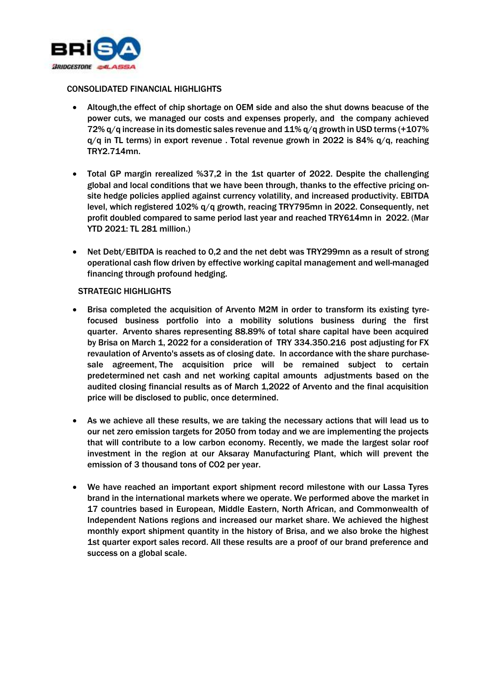

#### CONSOLIDATED FINANCIAL HIGHLIGHTS

- Altough,the effect of chip shortage on OEM side and also the shut downs beacuse of the power cuts, we managed our costs and expenses properly, and the company achieved 72% q/q increase in its domestic sales revenue and 11% q/q growth in USD terms (+107%  $q/q$  in TL terms) in export revenue . Total revenue growh in 2022 is 84%  $q/q$ , reaching TRY2.714mn.
- Total GP margin rerealized %37,2 in the 1st quarter of 2022. Despite the challenging global and local conditions that we have been through, thanks to the effective pricing onsite hedge policies applied against currency volatility, and increased productivity. EBITDA level, which registered 102% q/q growth, reacing TRY795mn in 2022. Consequently, net profit doubled compared to same period last year and reached TRY614mn in 2022. (Mar YTD 2021: TL 281 million.)
- Net Debt/EBITDA is reached to 0,2 and the net debt was TRY299mn as a result of strong operational cash flow driven by effective working capital management and well-managed financing through profound hedging.

#### **STRATEGIC HIGHLIGHTS**

- Brisa completed the acquisition of Arvento M2M in order to transform its existing tyrefocused business portfolio into a mobility solutions business during the first quarter. Arvento shares representing 88.89% of total share capital have been acquired by Brisa on March 1, 2022 for a consideration of TRY 334.350.216 post adjusting for FX revaulation of Arvento's assets as of closing date. In accordance with the share purchasesale agreement, The acquisition price will be remained subject to certain predetermined net cash and net working capital amounts adjustments based on the audited closing financial results as of March 1,2022 of Arvento and the final acquisition price will be disclosed to public, once determined.
- As we achieve all these results, we are taking the necessary actions that will lead us to our net zero emission targets for 2050 from today and we are implementing the projects that will contribute to a low carbon economy. Recently, we made the largest solar roof investment in the region at our Aksaray Manufacturing Plant, which will prevent the emission of 3 thousand tons of CO2 per year.
- We have reached an important export shipment record milestone with our Lassa Tyres brand in the international markets where we operate. We performed above the market in 17 countries based in European, Middle Eastern, North African, and Commonwealth of Independent Nations regions and increased our market share. We achieved the highest monthly export shipment quantity in the history of Brisa, and we also broke the highest 1st quarter export sales record. All these results are a proof of our brand preference and success on a global scale.